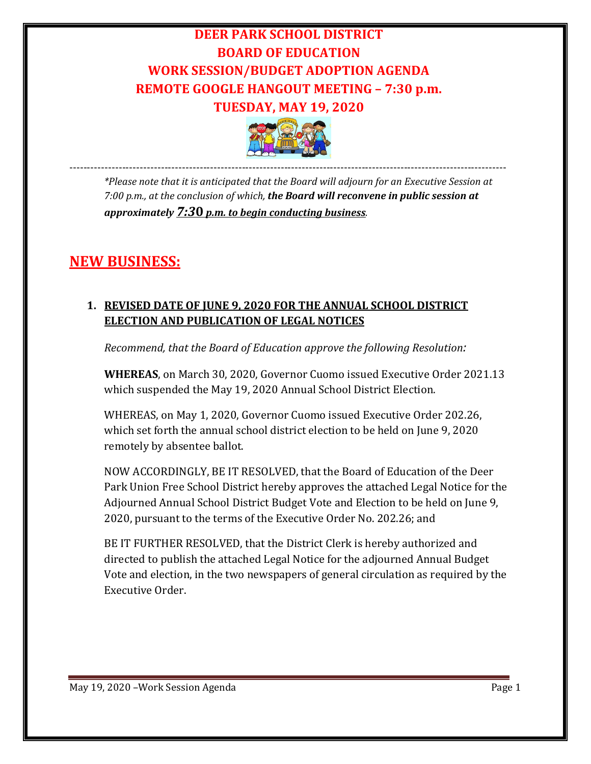# **DEER PARK SCHOOL DISTRICT BOARD OF EDUCATION WORK SESSION/BUDGET ADOPTION AGENDA REMOTE GOOGLE HANGOUT MEETING – 7:30 p.m. TUESDAY, MAY 19, 2020**



---------------------------------------------------------------------------------------------------------------------------- *\*Please note that it is anticipated that the Board will adjourn for an Executive Session at 7:00 p.m., at the conclusion of which, the Board will reconvene in public session at approximately 7:3***0** *p.m. to begin conducting business.*

## **NEW BUSINESS:**

## **1. REVISED DATE OF JUNE 9, 2020 FOR THE ANNUAL SCHOOL DISTRICT ELECTION AND PUBLICATION OF LEGAL NOTICES**

*Recommend, that the Board of Education approve the following Resolution:*

**WHEREAS**, on March 30, 2020, Governor Cuomo issued Executive Order 2021.13 which suspended the May 19, 2020 Annual School District Election.

WHEREAS, on May 1, 2020, Governor Cuomo issued Executive Order 202.26, which set forth the annual school district election to be held on June 9, 2020 remotely by absentee ballot.

NOW ACCORDINGLY, BE IT RESOLVED, that the Board of Education of the Deer Park Union Free School District hereby approves the attached Legal Notice for the Adjourned Annual School District Budget Vote and Election to be held on June 9, 2020, pursuant to the terms of the Executive Order No. 202.26; and

BE IT FURTHER RESOLVED, that the District Clerk is hereby authorized and directed to publish the attached Legal Notice for the adjourned Annual Budget Vote and election, in the two newspapers of general circulation as required by the Executive Order.